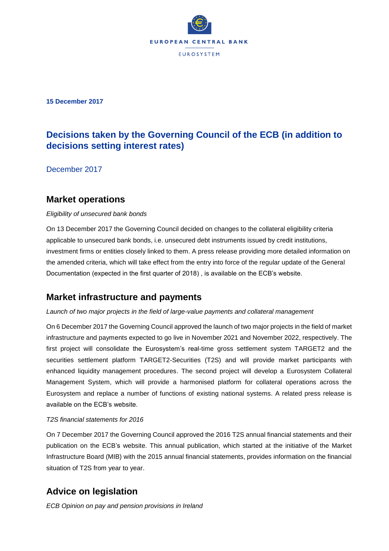

**15 December 2017**

# **Decisions taken by the Governing Council of the ECB (in addition to decisions setting interest rates)**

December 2017

### **Market operations**

#### *Eligibility of unsecured bank bonds*

On 13 December 2017 the Governing Council decided on changes to the collateral eligibility criteria applicable to unsecured bank bonds, i.e. unsecured debt instruments issued by credit institutions, investment firms or entities closely linked to them. A press release providing more detailed information on the amended criteria, which will take effect from the entry into force of the regular update of the General Documentation (expected in the first quarter of 2018) , is available on the ECB's website.

### **Market infrastructure and payments**

#### *Launch of two major projects in the field of large-value payments and collateral management*

On 6 December 2017 the Governing Council approved the launch of two major projects in the field of market infrastructure and payments expected to go live in November 2021 and November 2022, respectively. The first project will consolidate the Eurosystem's real-time gross settlement system TARGET2 and the securities settlement platform TARGET2-Securities (T2S) and will provide market participants with enhanced liquidity management procedures. The second project will develop a Eurosystem Collateral Management System, which will provide a harmonised platform for collateral operations across the Eurosystem and replace a number of functions of existing national systems. A related press release is available on the ECB's website.

#### *T2S financial statements for 2016*

On 7 December 2017 the Governing Council approved the 2016 T2S annual financial statements and their publication on the ECB's website. This annual publication, which started at the initiative of the Market Infrastructure Board (MIB) with the 2015 annual financial statements, provides information on the financial situation of T2S from year to year.

## **Advice on legislation**

*ECB Opinion on pay and pension provisions in Ireland*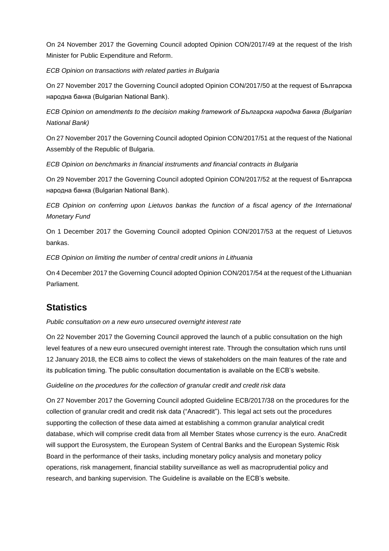On 24 November 2017 the Governing Council adopted Opinion CON/2017/49 at the request of the Irish Minister for Public Expenditure and Reform.

*ECB Opinion on transactions with related parties in Bulgaria*

On 27 November 2017 the Governing Council adopted Opinion CON/2017/50 at the request of Българска народна банка (Bulgarian National Bank).

*ECB Opinion on amendments to the decision making framework of Българска народна банка (Bulgarian National Bank)*

On 27 November 2017 the Governing Council adopted Opinion CON/2017/51 at the request of the National Assembly of the Republic of Bulgaria.

*ECB Opinion on benchmarks in financial instruments and financial contracts in Bulgaria*

On 29 November 2017 the Governing Council adopted Opinion CON/2017/52 at the request of Българска народна банка (Bulgarian National Bank).

*ECB Opinion on conferring upon Lietuvos bankas the function of a fiscal agency of the International Monetary Fund*

On 1 December 2017 the Governing Council adopted Opinion CON/2017/53 at the request of Lietuvos bankas.

*ECB Opinion on limiting the number of central credit unions in Lithuania*

On 4 December 2017 the Governing Council adopted Opinion CON/2017/54 at the request of the Lithuanian Parliament.

## **Statistics**

*Public consultation on a new euro unsecured overnight interest rate*

On 22 November 2017 the Governing Council approved the launch of a public consultation on the high level features of a new euro unsecured overnight interest rate. Through the consultation which runs until 12 January 2018, the ECB aims to collect the views of stakeholders on the main features of the rate and its publication timing. The public consultation documentation is available on the ECB's website.

*Guideline on the procedures for the collection of granular credit and credit risk data*

On 27 November 2017 the Governing Council adopted Guideline ECB/2017/38 on the procedures for the collection of granular credit and credit risk data ("Anacredit"). This legal act sets out the procedures supporting the collection of these data aimed at establishing a common granular analytical credit database, which will comprise credit data from all Member States whose currency is the euro. AnaCredit will support the Eurosystem, the European System of Central Banks and the European Systemic Risk Board in the performance of their tasks, including monetary policy analysis and monetary policy operations, risk management, financial stability surveillance as well as macroprudential policy and research, and banking supervision. The Guideline is available on the ECB's website.